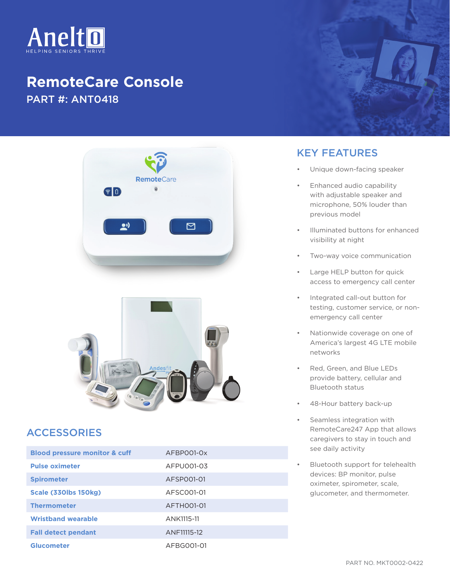

## **RemoteCare Console** PART #: ANT0418





## ACCESSORIES

| <b>Blood pressure monitor &amp; cuff</b> | AFBP001-0x  |
|------------------------------------------|-------------|
| <b>Pulse oximeter</b>                    | AFPU001-03  |
| <b>Spirometer</b>                        | AFSP001-01  |
| Scale (330lbs 150kg)                     | AFSC001-01  |
| <b>Thermometer</b>                       | AFTH001-01  |
| <b>Wristband wearable</b>                | ANK1115-11  |
| <b>Fall detect pendant</b>               | ANF11115-12 |
| <b>Glucometer</b>                        | AFBG001-01  |

## KEY FEATURES

- Unique down-facing speaker
- Enhanced audio capability with adjustable speaker and microphone, 50% louder than previous model
- Illuminated buttons for enhanced visibility at night
- Two-way voice communication
- Large HELP button for quick access to emergency call center
- Integrated call-out button for testing, customer service, or nonemergency call center
- Nationwide coverage on one of America's largest 4G LTE mobile networks
- Red, Green, and Blue LEDs provide battery, cellular and Bluetooth status
- 48-Hour battery back-up
- Seamless integration with RemoteCare247 App that allows caregivers to stay in touch and see daily activity
- Bluetooth support for telehealth devices: BP monitor, pulse oximeter, spirometer, scale, glucometer, and thermometer.